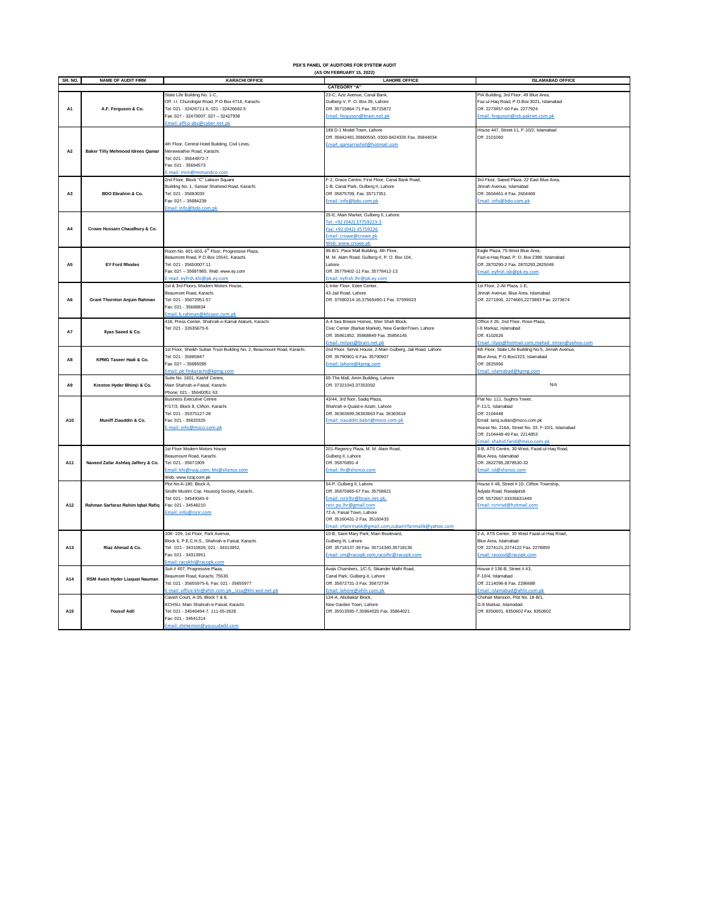|                 | PSX'S PANEL OF AUDITORS FOR SYSTEM AUDIT<br>(AS ON FEBRUARY 15, 2022) |                                                                                                                                                                                                       |                                                                                                                                                                                                                                             |                                                                                                                                                                                                                           |  |  |  |
|-----------------|-----------------------------------------------------------------------|-------------------------------------------------------------------------------------------------------------------------------------------------------------------------------------------------------|---------------------------------------------------------------------------------------------------------------------------------------------------------------------------------------------------------------------------------------------|---------------------------------------------------------------------------------------------------------------------------------------------------------------------------------------------------------------------------|--|--|--|
| <b>SR. NO.</b>  | <b>NAME OF AUDIT FIRM</b>                                             | <b>KARACHI OFFICE</b>                                                                                                                                                                                 | <b>LAHORE OFFICE</b>                                                                                                                                                                                                                        | <b>ISLAMABAD OFFICE</b>                                                                                                                                                                                                   |  |  |  |
|                 |                                                                       |                                                                                                                                                                                                       | <b>CATEGORY "A"</b>                                                                                                                                                                                                                         |                                                                                                                                                                                                                           |  |  |  |
| A1              | A.F. Ferguson & Co.                                                   | State Life Building No. 1-C,<br>Off. I.I. Chundrigar Road, P.O Box 4716, Karachi.<br>Tel: 021 - 32426711-5, 021 - 32426682-5<br>Fax: 021 - 32415007, 021 - 32427938<br>Imail: affco-abs@cyber.net.pk  | 23-C, Aziz Avenue, Canal Bank,<br>Gulberg-V, P. O. Box 39, Lahore<br>Off. 35715864-71 Fax. 35715872<br>Email: ferguson@brain.net.pk                                                                                                         | PIA Building, 3rd Floor, 49 Blue Area,<br>az-ul-Haq Road, P.O.Box 3021, Islamabad<br>Off. 2273457-60 Fax. 2277924<br>Email: ferguson@isb.paknet.com.pk                                                                    |  |  |  |
| A <sub>2</sub>  | <b>Baker Tilly Mehmood Idrees Qamar</b>                               | 4th Floor, Central Hotel Building, Civil Lines,<br>Mereweather Road, Karachi.<br>Tel: 021 - 35644872-7<br>Fax: 021 - 35694573<br>-mail: mim@mimandco.com                                              | 188 D-1 Model Town, Lahore<br>Off. 35842491,35860550, 0300-8424335 Fax. 35844034<br>Email: gamarrashid@hotmail.com                                                                                                                          | House 447, Street 11, F-10/2, Islamabad<br>Off. 2101060                                                                                                                                                                   |  |  |  |
| A3              | BDO Ebrahim & Co.                                                     | 2nd Floor, Block "C" Lakson Square<br>Building No. 1, Sarwar Shaheed Road, Karachi.<br>Tel: 021 - 35683030<br>Fax: 021 - 35684239<br>Email: info@bdo.com.pk                                           | -2, Grace Centre, First Floor, Canal Bank Road,<br>-B, Canal Park, Gulberg II, Lahore<br>Off. 35875709, Fax. 35717351<br>mail: info@bdo.com.pk                                                                                              | 3rd Floor, Saeed Plaza, 22 East Blue Area,<br>Jinnah Avenue, Islamabad<br>Off. 2604461-4 Fax. 2604468<br>Email: info@bdo.com.pk                                                                                           |  |  |  |
| A4              | Crowe Hussain Chaudhury & Co.                                         |                                                                                                                                                                                                       | 25-E, Main Market, Gulberg II, Lahore.<br>Tel: +92 (042) 37759223-5<br>ax: +92 (042) 35759226<br>Email: crowe@crowe.pk<br><u>Veb: www.crowe.pk</u>                                                                                          |                                                                                                                                                                                                                           |  |  |  |
| A <sub>5</sub>  | <b>EY Ford Rhodes</b>                                                 | Room No. 601-603, 6 <sup>th</sup> Floor, Progressive Plaza,<br>Beaumont Road, P.O Box 15541, Karachi.<br>Tel: 021 - 35650007-11<br>Fax: 021 - 35681965, Web: www.ey.com<br>mail: eyfrsh.khi@pk.ey.com | 36-B/1, Pace Mall Building, 4th Floor,<br>M. M. Alam Road, Gulberg-II, P. O. Box 104,<br>l ahore<br>Off. 35778402-11 Fax. 35778412-13<br>mail: eyfrsh.lhr@pk.ey.com                                                                         | Eagle Plaza, 75-West Blue Area,<br>azl-e-Haq Road, P. O. Box 2388, Islamabad<br>Off. 2870290-2 Fax. 2870293.2825048<br>mail: eyfrsh.isb@pk.ey.com                                                                         |  |  |  |
| A <sub>6</sub>  | <b>Grant Thornton Anjum Rahman</b>                                    | 1st & 3rd Floors, Modern Motors House,<br>Beaumont Road, Karachi,<br>Tel: 021 - 35672951-57<br>Fax: 021 - 35688834<br>mail: k.rahman@khiaasr.com.pk                                                   | I-Inter Floor, Eden Center,<br>13-Jail Road, Labore<br>Off. 37590214-16,37565490-1 Fax. 37599023                                                                                                                                            | 1st Floor, 2-Ali Plaza, 1-E,<br>Jinnah Ayenue, Blue Area, Islamahad<br>Off. 2271906, 2274665,2273883 Fax. 2273874                                                                                                         |  |  |  |
| A7              | Ilyas Saeed & Co.                                                     | 418, Press Center, Shahrah-e-Kamal Ataturk, Karachi<br>Tel: 021 - 32635675-6                                                                                                                          | A-4 Sea Breeze Homes, Sher Shah Block.<br>Civic Center (Barkat Market), New GardenTown, Lahore<br>Off. 35861852, 35868849 Fax. 35856145<br>mail: milyas@brain.net.pk                                                                        | Office #26, 2nd Floor, Rose Plaza.<br>I-8 Markaz, Islamabad<br>Off. 4102626<br>mail: iilyas@hotmail.com,mahad_imran@yahoo.com                                                                                             |  |  |  |
| A8              | KPMG Taseer Hadi & Co.                                                | 1st Floor, Sheikh Sultan Trust Building No. 2, Beaumount Road, Karachi.<br>Tel: 021 - 35685847<br>Fax: 021 - 35685095<br>mail: pk-fmkarachi@kpmg.com                                                  | 2nd Floor, Servis House, 2-Main Gulberg, Jail Road, Lahore<br>Off. 35790901-6 Fax. 35790907<br>mail: lahore@kpmg.com                                                                                                                        | 6th Floor, State Life Building No.5, Jinnah Avenue,<br>Blue Area, P.O.Box1323, Islamabad<br>Off 2825956<br>mail: islamabad@kpmg.com                                                                                       |  |  |  |
| A <sub>9</sub>  | Kreston Hyder Bhimji & Co.                                            | Suite No. 1601. Kashif Centre.<br>Main Shahrah-e-Faisal, Karachi.<br>Phone: 021 - 35640051-53                                                                                                         | 65-The Mall, Amin Building, Lahore<br>Off. 37321043,37353392                                                                                                                                                                                | $N/\Delta$                                                                                                                                                                                                                |  |  |  |
| A10             | Muniff Ziauddin & Co.                                                 | <b>Business Executive Centre</b><br>F/17/3, Block 8, Clifton, Karachi.<br>Tel: 021 - 35375127-28<br>Fax: 021 - 35820325<br>E-mail: info@mzco.com.pk                                                   | 13/44, 3rd floor, Sadig Plaza,<br>Shahrah-e-Quaid-e-Azam, Lahore<br>Off. 36363699.36363663 Fax. 36363618<br>Email: ziauddin.babri@mzco.com.pk                                                                                               | Flat No. 111, Sughra Tower,<br>F-11/1, Islamabad<br>Off. 2104448<br>Email: tariq.sultan@mzco.com.pk<br>House No. 216A, Street No. 33, F-10/1, Islamabad<br>Off. 2104448-49 Fax. 2214853<br>mail: shahid.farid@mzco.com.pk |  |  |  |
| A11             | Naveed Zafar Ashfaq Jaffery & Co.                                     | 1st Floor Modern Motors House<br>Beaumount Road, Karachi,<br>Tel: 021 - 35671909<br>Email: khi@nzaj.com; khi@shznco.com<br>Web: www.nzai.com.pk                                                       | 201-Regency Plaza, M. M. Alam Road,<br>Sulberg II, Lahore<br>Off. 35876891-4<br>mail: Ihr@shznco.com                                                                                                                                        | 3-B. ATS Centre, 30-West, Fazal-ul-Hag Road,<br>Blue Area, Islamabad<br>Off. 2822785.2878530-32<br>Email: isl@shznco.com                                                                                                  |  |  |  |
| A12             | Rahman Sarfaraz Rahim Iqbal Rafiq                                     | Plot No-A-180, Block A,<br>Sindhi Muslim Cop. Housing Society, Karachi.<br>Tel: 021 - 34549345-9<br>Fax: 021 - 34548210<br>Email: info@rsrir.com                                                      | 54-P, Gulberg II, Lahore<br>Off. 35875965-67 Fax. 35758621<br>Email: rsrirlhr@brain.net.pk,<br>rsrir.po.lhr@gmail.com<br>72-A, Faisal Town, Lahore<br>Off 35160431-2 Fax 35160433<br>mail: irfanrmalik@gmail.com,zubairirfanmalik@yahoo.com | House #48, Street #19, Clifton Township,<br>Advala Road, Rawalpindi<br>Off. 5572667.03335631449<br>Email: rsririsd@hotmail.com                                                                                            |  |  |  |
| A13             | Riaz Ahmad & Co.                                                      | 108- 109, 1st Floor, Park Avenue,<br>Block 6, P.E.C.H.S., Shahrah-e-Faisal, Karachi.<br>Tel: 021 - 34310826, 021 - 34313952.<br>Fax: 021 - 34313951<br>mail: racokhi@racopk.com                       | 10-B, Saint Mary Park, Main Boulevard,<br>Gulberg III, Lahore<br>Off. 35718137-39 Fax. 35714340.35718136<br>imail: sm@racopk.com,racolhr@racopk.com                                                                                         | 2-A, ATS Center, 30 West Fazal-ul-Haq Road,<br>Blue Area, Islamabad<br>Off. 2274121.2274122 Fax. 2278859<br>Email: racoisd@racopk.com                                                                                     |  |  |  |
| A14             | RSM Avais Hyder Liaquat Nauman                                        | Suit #407. Progressive Plaza.<br>Beaumont Road, Karachi, 75530,<br>Tel: 021 - 35655975-6, Fax: 021 - 35655977<br>mail: office.khi@ahln.com.pk, lzca@khi.wol.net.pk                                    | Avais Chambers, 1/C-5, Sikander Malhi Road<br>Canal Park, Gulberg-II, Lahore<br>Off. 35872731-3 Fax. 35872734<br>Email: lahore@ahln.com.pk                                                                                                  | House # 136-B. Street # 43<br>F-10/4, Islamabad<br>Off. 2114096-8 Fax. 2296688<br>mail: islamabad@ahln.com.pk                                                                                                             |  |  |  |
| A <sub>15</sub> | <b>Yousuf Adil</b>                                                    | Cavish Court, A-35, Block 7 & 8,<br>KCHSU, Main Shahrah-e-Faisal, Karachi.<br>Tel: 021 - 34546494-7, 111-55-2626<br>Fax: 021 - 34541314<br>Email: zhmemon@yousudadil.com                              | 134-A Abubakar Block<br><b>Vew Garden Town, Lahore</b><br>Off. 35913595-7,35864020 Fax. 35864021                                                                                                                                            | Chohan Mansion, Plot No. 18-B/1,<br>G-8 Markaz, Islamabad<br>Off. 8350601, 8350602 Fax. 8350602                                                                                                                           |  |  |  |